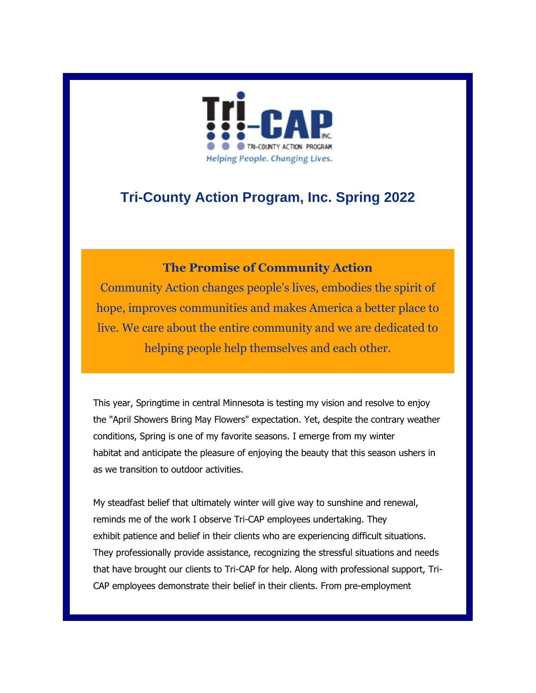

### **Tri-County Action Program, Inc. Spring 2022**

#### **The Promise of Community Action**

Community Action changes people's lives, embodies the spirit of hope, improves communities and makes America a better place to live. We care about the entire community and we are dedicated to helping people help themselves and each other.

This year, Springtime in central Minnesota is testing my vision and resolve to enjoy the "April Showers Bring May Flowers" expectation. Yet, despite the contrary weather conditions, Spring is one of my favorite seasons. I emerge from my winter habitat and anticipate the pleasure of enjoying the beauty that this season ushers in as we transition to outdoor activities.

My steadfast belief that ultimately winter will give way to sunshine and renewal, reminds me of the work I observe Tri-CAP employees undertaking. They exhibit patience and belief in their clients who are experiencing difficult situations. They professionally provide assistance, recognizing the stressful situations and needs that have brought our clients to Tri-CAP for help. Along with professional support, Tri-CAP employees demonstrate their belief in their clients. From pre-employment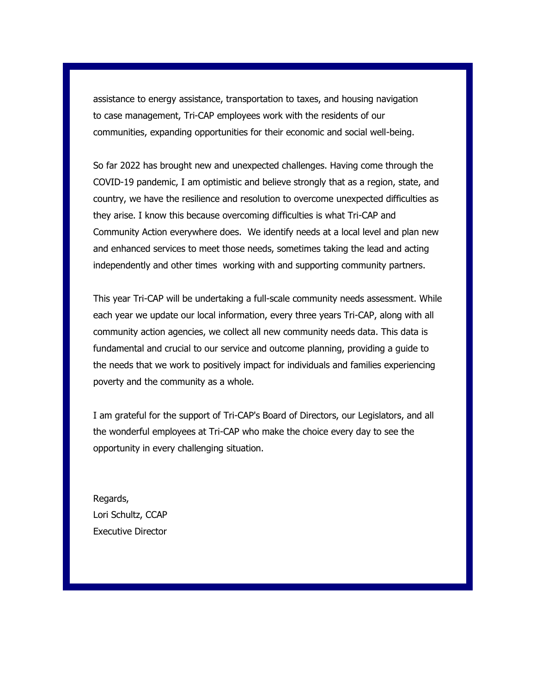assistance to energy assistance, transportation to taxes, and housing navigation to case management, Tri-CAP employees work with the residents of our communities, expanding opportunities for their economic and social well-being.

So far 2022 has brought new and unexpected challenges. Having come through the COVID-19 pandemic, I am optimistic and believe strongly that as a region, state, and country, we have the resilience and resolution to overcome unexpected difficulties as they arise. I know this because overcoming difficulties is what Tri-CAP and Community Action everywhere does. We identify needs at a local level and plan new and enhanced services to meet those needs, sometimes taking the lead and acting independently and other times working with and supporting community partners.

This year Tri-CAP will be undertaking a full-scale community needs assessment. While each year we update our local information, every three years Tri-CAP, along with all community action agencies, we collect all new community needs data. This data is fundamental and crucial to our service and outcome planning, providing a guide to the needs that we work to positively impact for individuals and families experiencing poverty and the community as a whole.

I am grateful for the support of Tri-CAP's Board of Directors, our Legislators, and all the wonderful employees at Tri-CAP who make the choice every day to see the opportunity in every challenging situation.

Regards, Lori Schultz, CCAP Executive Director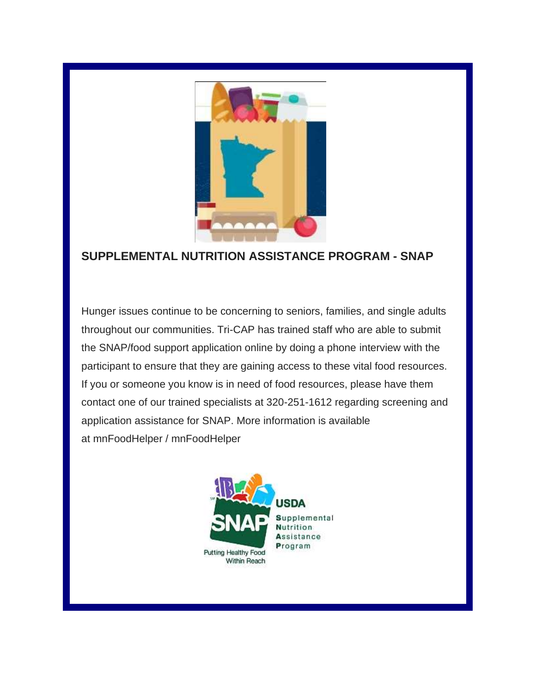

### **SUPPLEMENTAL NUTRITION ASSISTANCE PROGRAM - SNAP**

Hunger issues continue to be concerning to seniors, families, and single adults throughout our communities. Tri-CAP has trained staff who are able to submit the SNAP/food support application online by doing a phone interview with the participant to ensure that they are gaining access to these vital food resources. If you or someone you know is in need of food resources, please have them contact one of our trained specialists at 320-251-1612 regarding screening and application assistance for SNAP. More information is available at mnFoodHelper / mnFoodHelper

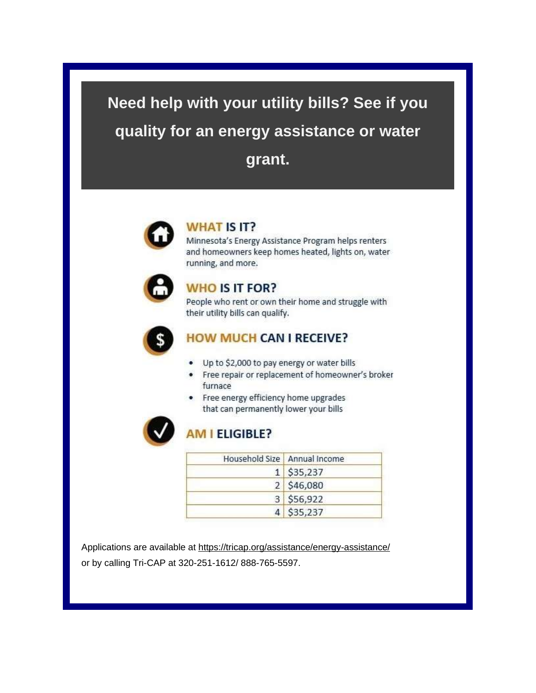# **Need help with your utility bills? See if you quality for an energy assistance or water grant.**



#### **WHAT IS IT?**

Minnesota's Energy Assistance Program helps renters and homeowners keep homes heated, lights on, water running, and more.



#### **WHO IS IT FOR?**

People who rent or own their home and struggle with their utility bills can qualify.



#### **HOW MUCH CAN I RECEIVE?**

- Up to \$2,000 to pay energy or water bills
- Free repair or replacement of homeowner's broker furnace
- Free energy efficiency home upgrades that can permanently lower your bills



#### **AM I ELIGIBLE?**

| Household Size   Annual Income |
|--------------------------------|
| $1$ \$35,237                   |
| 2   \$46,080                   |
| 3 556,922                      |
| 4 \$35,237                     |

Applications are available at <https://tricap.org/assistance/energy-assistance/> or by calling Tri-CAP at 320-251-1612/ 888-765-5597.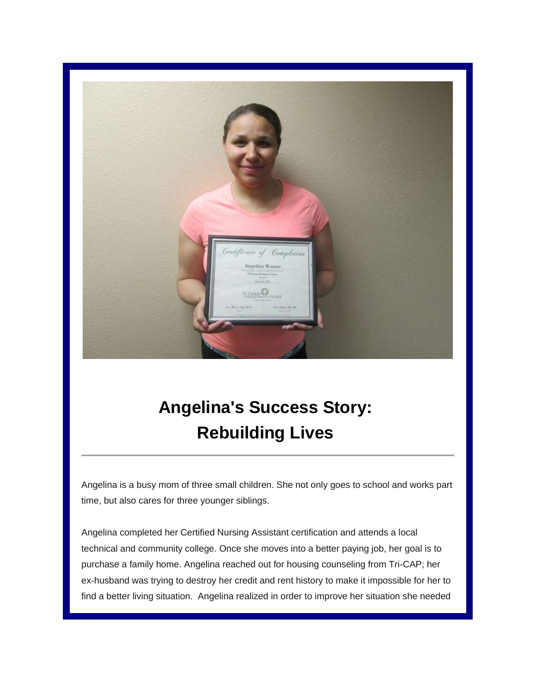

## **Angelina's Success Story: Rebuilding Lives**

Angelina is a busy mom of three small children. She not only goes to school and works part time, but also cares for three younger siblings.

Angelina completed her Certified Nursing Assistant certification and attends a local technical and community college. Once she moves into a better paying job, her goal is to purchase a family home. Angelina reached out for housing counseling from Tri-CAP; her ex-husband was trying to destroy her credit and rent history to make it impossible for her to find a better living situation. Angelina realized in order to improve her situation she needed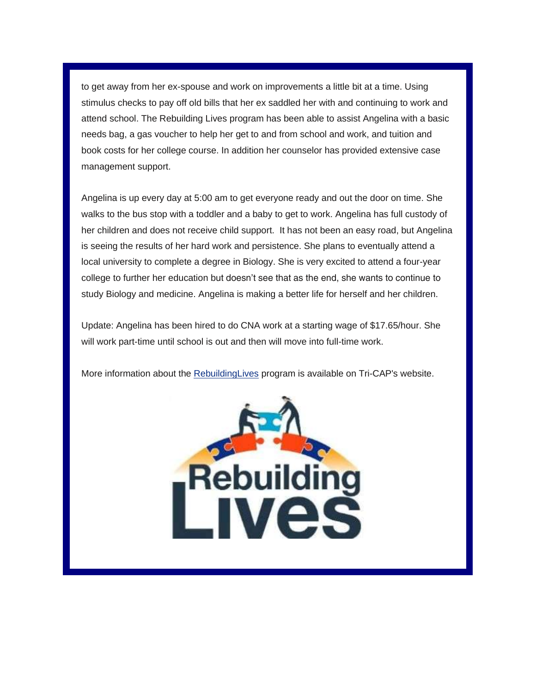to get away from her ex-spouse and work on improvements a little bit at a time. Using stimulus checks to pay off old bills that her ex saddled her with and continuing to work and attend school. The Rebuilding Lives program has been able to assist Angelina with a basic needs bag, a gas voucher to help her get to and from school and work, and tuition and book costs for her college course. In addition her counselor has provided extensive case management support.

Angelina is up every day at 5:00 am to get everyone ready and out the door on time. She walks to the bus stop with a toddler and a baby to get to work. Angelina has full custody of her children and does not receive child support. It has not been an easy road, but Angelina is seeing the results of her hard work and persistence. She plans to eventually attend a local university to complete a degree in Biology. She is very excited to attend a four-year college to further her education but doesn't see that as the end, she wants to continue to study Biology and medicine. Angelina is making a better life for herself and her children.

Update: Angelina has been hired to do CNA work at a starting wage of \$17.65/hour. She will work part-time until school is out and then will move into full-time work.

More information about the [RebuildingLives](https://tricap.org/assistance/rebuilding-lives/) program is available on Tri-CAP's website.

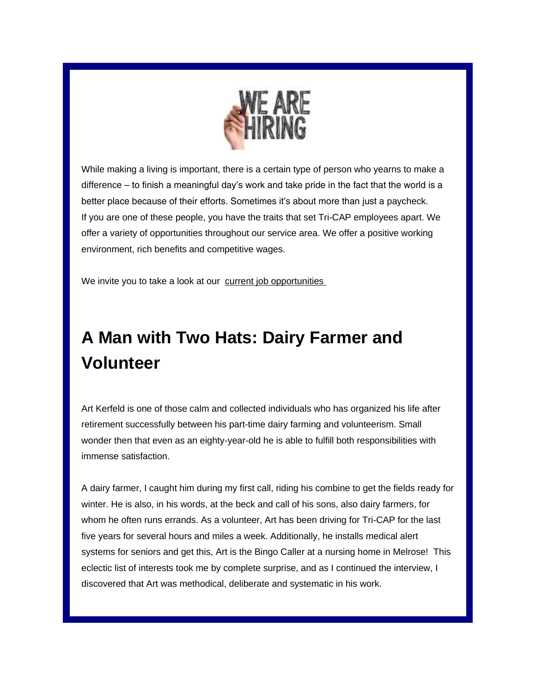

While making a living is important, there is a certain type of person who yearns to make a difference – to finish a meaningful day's work and take pride in the fact that the world is a better place because of their efforts. Sometimes it's about more than just a paycheck. If you are one of these people, you have the traits that set Tri-CAP employees apart. We offer a variety of opportunities throughout our service area. We offer a positive working environment, rich benefits and competitive wages.

We invite you to take a look at our [current job opportunities](https://tricap.org/job-opportunities/)

### **A Man with Two Hats: Dairy Farmer and Volunteer**

Art Kerfeld is one of those calm and collected individuals who has organized his life after retirement successfully between his part-time dairy farming and volunteerism. Small wonder then that even as an eighty-year-old he is able to fulfill both responsibilities with immense satisfaction.

A dairy farmer, I caught him during my first call, riding his combine to get the fields ready for winter. He is also, in his words, at the beck and call of his sons, also dairy farmers, for whom he often runs errands. As a volunteer, Art has been driving for Tri-CAP for the last five years for several hours and miles a week. Additionally, he installs medical alert systems for seniors and get this, Art is the Bingo Caller at a nursing home in Melrose! This eclectic list of interests took me by complete surprise, and as I continued the interview, I discovered that Art was methodical, deliberate and systematic in his work.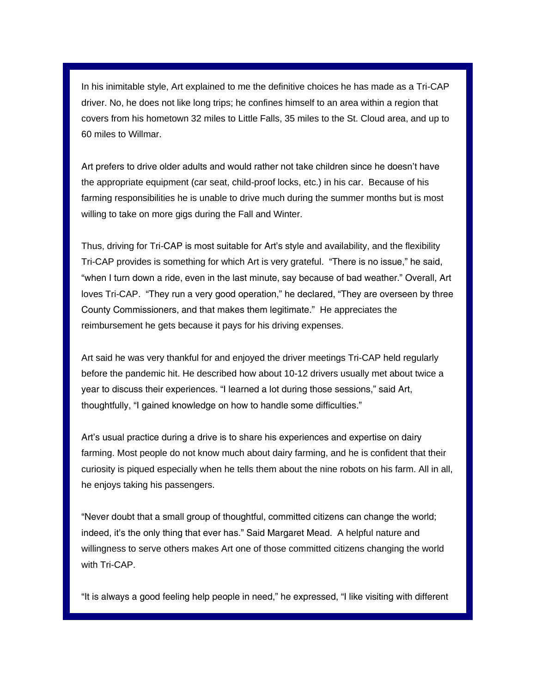In his inimitable style, Art explained to me the definitive choices he has made as a Tri-CAP driver. No, he does not like long trips; he confines himself to an area within a region that covers from his hometown 32 miles to Little Falls, 35 miles to the St. Cloud area, and up to 60 miles to Willmar.

Art prefers to drive older adults and would rather not take children since he doesn't have the appropriate equipment (car seat, child-proof locks, etc.) in his car. Because of his farming responsibilities he is unable to drive much during the summer months but is most willing to take on more gigs during the Fall and Winter.

Thus, driving for Tri-CAP is most suitable for Art's style and availability, and the flexibility Tri-CAP provides is something for which Art is very grateful. "There is no issue," he said, "when I turn down a ride, even in the last minute, say because of bad weather." Overall, Art loves Tri-CAP. "They run a very good operation," he declared, "They are overseen by three County Commissioners, and that makes them legitimate." He appreciates the reimbursement he gets because it pays for his driving expenses.

Art said he was very thankful for and enjoyed the driver meetings Tri-CAP held regularly before the pandemic hit. He described how about 10-12 drivers usually met about twice a year to discuss their experiences. "I learned a lot during those sessions," said Art, thoughtfully, "I gained knowledge on how to handle some difficulties."

Art's usual practice during a drive is to share his experiences and expertise on dairy farming. Most people do not know much about dairy farming, and he is confident that their curiosity is piqued especially when he tells them about the nine robots on his farm. All in all, he enjoys taking his passengers.

"Never doubt that a small group of thoughtful, committed citizens can change the world; indeed, it's the only thing that ever has." Said Margaret Mead. A helpful nature and willingness to serve others makes Art one of those committed citizens changing the world with Tri-CAP.

"It is always a good feeling help people in need," he expressed, "I like visiting with different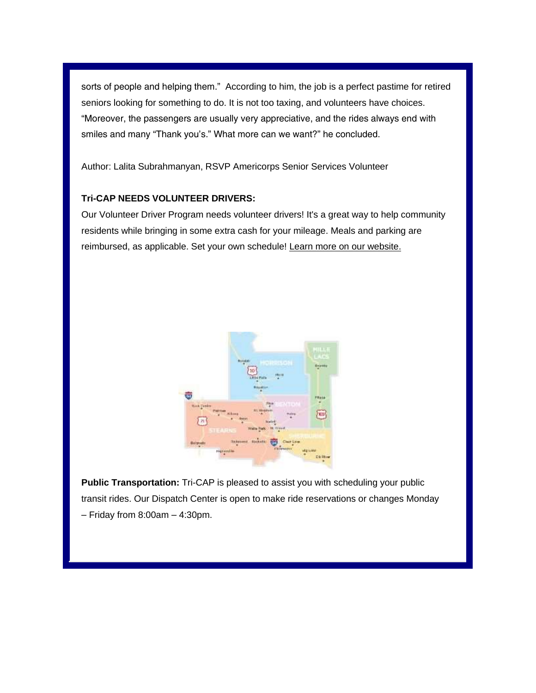sorts of people and helping them." According to him, the job is a perfect pastime for retired seniors looking for something to do. It is not too taxing, and volunteers have choices. "Moreover, the passengers are usually very appreciative, and the rides always end with smiles and many "Thank you's." What more can we want?" he concluded.

Author: Lalita Subrahmanyan, RSVP Americorps Senior Services Volunteer

#### **Tri-CAP NEEDS VOLUNTEER DRIVERS:**

Our Volunteer Driver Program needs volunteer drivers! It's a great way to help community residents while bringing in some extra cash for your mileage. Meals and parking are reimbursed, as applicable. Set your own schedule! [Learn more on our website.](https://tricap.org/volunteer/)



**Public Transportation:** Tri-CAP is pleased to assist you with scheduling your public transit rides. Our Dispatch Center is open to make ride reservations or changes Monday  $-$  Friday from 8:00am  $-$  4:30pm.